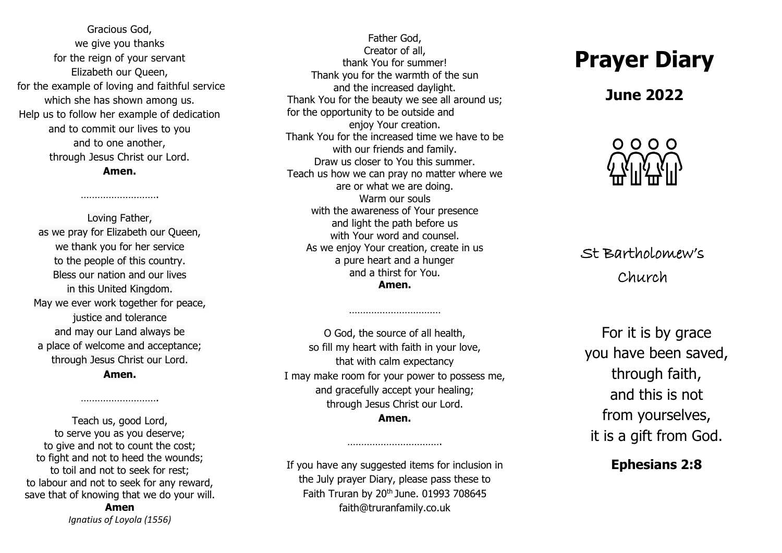Gracious God, we give you thanks for the reign of your servant Elizabeth our Queen, for the example of loving and faithful service which she has shown among us. Help us to follow her example of dedication and to commit our lives to you and to one another, through Jesus Christ our Lord. **Amen.**

……………………….

Loving Father, as we pray for Elizabeth our Queen, we thank you for her service to the people of this country. Bless our nation and our lives in this United Kingdom. May we ever work together for peace, justice and tolerance and may our Land always be a place of welcome and acceptance; through Jesus Christ our Lord. **Amen.**

Teach us, good Lord, to serve you as you deserve; to give and not to count the cost; to fight and not to heed the wounds; to toil and not to seek for rest; to labour and not to seek for any reward, save that of knowing that we do your will.

……………………….

**Amen** *Ignatius of Loyola (1556)*

Father God, Creator of all, thank You for summer! Thank you for the warmth of the sun and the increased daylight. Thank You for the beauty we see all around us; for the opportunity to be outside and enjoy Your creation. Thank You for the increased time we have to be with our friends and family. Draw us closer to You this summer. Teach us how we can pray no matter where we are or what we are doing. Warm our souls with the awareness of Your presence and light the path before us with Your word and counsel. As we enjoy Your creation, create in us a pure heart and a hunger and a thirst for You.

**Amen.**

………………………………………

O God, the source of all health, so fill my heart with faith in your love, that with calm expectancy I may make room for your power to possess me, and gracefully accept your healing; through Jesus Christ our Lord. **Amen.**

If you have any suggested items for inclusion in the July prayer Diary, please pass these to Faith Truran by  $20<sup>th</sup>$  June. 01993 708645 faith@truranfamily.co.uk

…………………………….

## **Prayer Diary**

## **June 2022**



St Bartholomew's Church

For it is by grace you have been saved, through faith, and this is not from yourselves, it is a gift from God.

## **Ephesians 2:8**